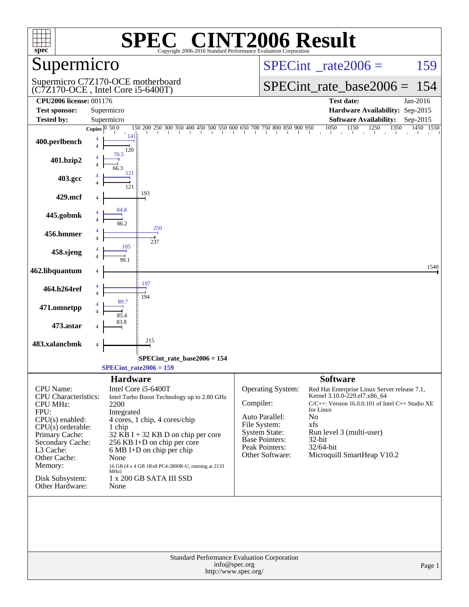| $spec^*$                                                                                                                                                                                                                            | $\bigcap$<br>$\blacksquare$<br>Copyright 2006-2016 Standard Performance Evaluation Corporation                                                                                                                                                                                                                                                                     | <b>NT2006 Result</b>                                                                                                                                                                                                                                                                                                                                                                                                                           |
|-------------------------------------------------------------------------------------------------------------------------------------------------------------------------------------------------------------------------------------|--------------------------------------------------------------------------------------------------------------------------------------------------------------------------------------------------------------------------------------------------------------------------------------------------------------------------------------------------------------------|------------------------------------------------------------------------------------------------------------------------------------------------------------------------------------------------------------------------------------------------------------------------------------------------------------------------------------------------------------------------------------------------------------------------------------------------|
| Supermicro                                                                                                                                                                                                                          |                                                                                                                                                                                                                                                                                                                                                                    | $SPECint^{\circ}$ rate $2006 =$<br>159                                                                                                                                                                                                                                                                                                                                                                                                         |
|                                                                                                                                                                                                                                     | Supermicro C7Z170-OCE motherboard<br>$(C7Z170$ -OCE, Intel Core i5-6400T)                                                                                                                                                                                                                                                                                          | $SPECint_rate\_base2006 =$<br>154                                                                                                                                                                                                                                                                                                                                                                                                              |
| <b>CPU2006 license: 001176</b><br><b>Test sponsor:</b>                                                                                                                                                                              | Supermicro                                                                                                                                                                                                                                                                                                                                                         | <b>Test date:</b><br>Jan-2016<br>Hardware Availability: Sep-2015                                                                                                                                                                                                                                                                                                                                                                               |
| <b>Tested by:</b>                                                                                                                                                                                                                   | Supermicro                                                                                                                                                                                                                                                                                                                                                         | <b>Software Availability:</b><br>Sep-2015                                                                                                                                                                                                                                                                                                                                                                                                      |
|                                                                                                                                                                                                                                     | Copies $\overline{0.50.0}$<br>150 200 250 300 350 400 450 500 550 600 650 700 750 800 850 900 950                                                                                                                                                                                                                                                                  | 1050<br>1150<br>1250<br>1350<br>1450 1550                                                                                                                                                                                                                                                                                                                                                                                                      |
| 400.perlbench                                                                                                                                                                                                                       | 141<br>4<br>$\overline{4}$<br>120                                                                                                                                                                                                                                                                                                                                  |                                                                                                                                                                                                                                                                                                                                                                                                                                                |
| 401.bzip2                                                                                                                                                                                                                           | 70.5<br>4<br>66.3<br>121                                                                                                                                                                                                                                                                                                                                           |                                                                                                                                                                                                                                                                                                                                                                                                                                                |
| 403.gcc                                                                                                                                                                                                                             | 121                                                                                                                                                                                                                                                                                                                                                                |                                                                                                                                                                                                                                                                                                                                                                                                                                                |
| 429.mcf                                                                                                                                                                                                                             | 193<br>4<br>84.8                                                                                                                                                                                                                                                                                                                                                   |                                                                                                                                                                                                                                                                                                                                                                                                                                                |
| 445.gobmk                                                                                                                                                                                                                           | 4<br>4<br>86.2<br>250                                                                                                                                                                                                                                                                                                                                              |                                                                                                                                                                                                                                                                                                                                                                                                                                                |
| 456.hmmer                                                                                                                                                                                                                           | 4<br>$\overline{4}$<br>237<br>105                                                                                                                                                                                                                                                                                                                                  |                                                                                                                                                                                                                                                                                                                                                                                                                                                |
| 458.sjeng                                                                                                                                                                                                                           | 4<br>4<br>99.1                                                                                                                                                                                                                                                                                                                                                     | 1540                                                                                                                                                                                                                                                                                                                                                                                                                                           |
| 462.libquantum                                                                                                                                                                                                                      | 4<br>197<br>4                                                                                                                                                                                                                                                                                                                                                      |                                                                                                                                                                                                                                                                                                                                                                                                                                                |
| 464.h264ref                                                                                                                                                                                                                         | $\overline{4}$<br>194<br>89.7                                                                                                                                                                                                                                                                                                                                      |                                                                                                                                                                                                                                                                                                                                                                                                                                                |
| 471.omnetpp<br>473.astar                                                                                                                                                                                                            | 85.4<br>83.8                                                                                                                                                                                                                                                                                                                                                       |                                                                                                                                                                                                                                                                                                                                                                                                                                                |
| 483.xalancbmk                                                                                                                                                                                                                       | 4<br>215<br>4                                                                                                                                                                                                                                                                                                                                                      |                                                                                                                                                                                                                                                                                                                                                                                                                                                |
|                                                                                                                                                                                                                                     | SPECint_rate_base2006 = 154                                                                                                                                                                                                                                                                                                                                        |                                                                                                                                                                                                                                                                                                                                                                                                                                                |
|                                                                                                                                                                                                                                     | $SPECint_rate2006 = 159$                                                                                                                                                                                                                                                                                                                                           |                                                                                                                                                                                                                                                                                                                                                                                                                                                |
| CPU Name:<br><b>CPU</b> Characteristics:<br><b>CPU MHz:</b><br>FPU:<br>$CPU(s)$ enabled:<br>$CPU(s)$ orderable:<br>Primary Cache:<br>Secondary Cache:<br>L3 Cache:<br>Other Cache:<br>Memory:<br>Disk Subsystem:<br>Other Hardware: | <b>Hardware</b><br>Intel Core i5-6400T<br>Intel Turbo Boost Technology up to 2.80 GHz<br>2200<br>Integrated<br>4 cores, 1 chip, 4 cores/chip<br>1 chip<br>$32$ KB I + 32 KB D on chip per core<br>256 KB I+D on chip per core<br>6 MB I+D on chip per chip<br>None<br>16 GB (4 x 4 GB 1Rx8 PC4-2800R-U, running at 2133<br>MHz)<br>1 x 200 GB SATA III SSD<br>None | <b>Software</b><br>Operating System:<br>Red Hat Enterprise Linux Server release 7.1,<br>Kernel 3.10.0-229.el7.x86 64<br>Compiler:<br>C/C++: Version 16.0.0.101 of Intel C++ Studio XE<br>for Linux<br>Auto Parallel:<br>N <sub>0</sub><br>File System:<br>xfs<br><b>System State:</b><br>Run level 3 (multi-user)<br><b>Base Pointers:</b><br>$32$ -bit<br><b>Peak Pointers:</b><br>32/64-bit<br>Microquill SmartHeap V10.2<br>Other Software: |
|                                                                                                                                                                                                                                     | Standard Performance Evaluation Corporation<br>info@spec.org<br>http://www.spec.org/                                                                                                                                                                                                                                                                               | Page 1                                                                                                                                                                                                                                                                                                                                                                                                                                         |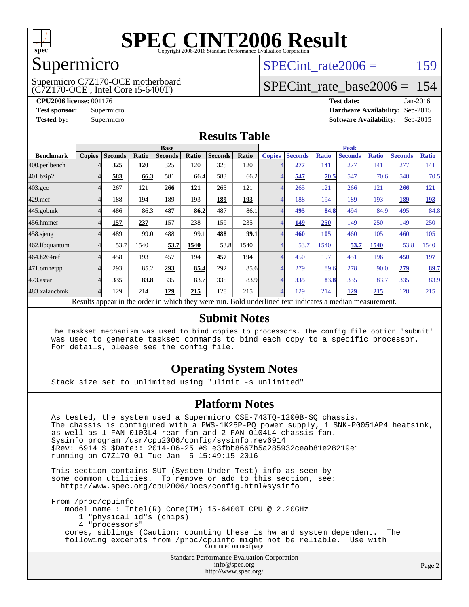

### Supermicro

(C7Z170-OCE , Intel Core i5-6400T) Supermicro C7Z170-OCE motherboard SPECint rate $2006 = 159$ 

### [SPECint\\_rate\\_base2006 =](http://www.spec.org/auto/cpu2006/Docs/result-fields.html#SPECintratebase2006) 154

**[CPU2006 license:](http://www.spec.org/auto/cpu2006/Docs/result-fields.html#CPU2006license)** 001176 **[Test date:](http://www.spec.org/auto/cpu2006/Docs/result-fields.html#Testdate)** Jan-2016 **[Test sponsor:](http://www.spec.org/auto/cpu2006/Docs/result-fields.html#Testsponsor)** Supermicro **[Hardware Availability:](http://www.spec.org/auto/cpu2006/Docs/result-fields.html#HardwareAvailability)** Sep-2015 **[Tested by:](http://www.spec.org/auto/cpu2006/Docs/result-fields.html#Testedby)** Supermicro **Supermicro [Software Availability:](http://www.spec.org/auto/cpu2006/Docs/result-fields.html#SoftwareAvailability)** Sep-2015

### **[Results Table](http://www.spec.org/auto/cpu2006/Docs/result-fields.html#ResultsTable)**

|                                                                                                          | <b>Base</b>   |                |       |                |            | <b>Peak</b>    |       |                |                |              |                |              |                |              |
|----------------------------------------------------------------------------------------------------------|---------------|----------------|-------|----------------|------------|----------------|-------|----------------|----------------|--------------|----------------|--------------|----------------|--------------|
| <b>Benchmark</b>                                                                                         | <b>Copies</b> | <b>Seconds</b> | Ratio | <b>Seconds</b> | Ratio      | <b>Seconds</b> | Ratio | <b>Copies</b>  | <b>Seconds</b> | <b>Ratio</b> | <b>Seconds</b> | <b>Ratio</b> | <b>Seconds</b> | <b>Ratio</b> |
| 400.perlbench                                                                                            |               | 325            | 120   | 325            | 120        | 325            | 120   | 4              | 277            | 141          | 277            | 141          | 277            | 141          |
| 401.bzip2                                                                                                |               | 583            | 66.3  | 581            | 66.4       | 583            | 66.2  |                | 547            | 70.5         | 547            | 70.6         | 548            | 70.5         |
| $403.\mathrm{gcc}$                                                                                       |               | 267            | 121   | 266            | <u>121</u> | 265            | 121   | $\overline{4}$ | 265            | 121          | 266            | 121          | 266            | <u>121</u>   |
| $429$ .mcf                                                                                               |               | 188            | 194   | 189            | 193        | 189            | 193   | 4              | 188            | 194          | 189            | 193          | 189            | <u>193</u>   |
| $445$ .gobmk                                                                                             |               | 486            | 86.3  | 487            | 86.2       | 487            | 86.1  | $\overline{4}$ | <u>495</u>     | 84.8         | 494            | 84.9         | 495            | 84.8         |
| 456.hmmer                                                                                                |               | 157            | 237   | 157            | 238        | 159            | 235   | 4              | 149            | 250          | 149            | 250          | 149            | 250          |
| $458$ .sjeng                                                                                             |               | 489            | 99.0  | 488            | 99.1       | 488            | 99.1  | $\overline{4}$ | 460            | 105          | 460            | 105          | 460            | 105          |
| 462.libquantum                                                                                           |               | 53.7           | 1540  | 53.7           | 1540       | 53.8           | 1540  | 4              | 53.7           | 1540         | 53.7           | 1540         | 53.8           | 1540         |
| 464.h264ref                                                                                              |               | 458            | 193   | 457            | 194        | 457            | 194   | 4              | 450            | 197          | 451            | 196          | 450            | <u>197</u>   |
| 471.omnetpp                                                                                              |               | 293            | 85.2  | 293            | 85.4       | 292            | 85.6  | 4              | 279            | 89.6         | 278            | 90.0         | 279            | <u>89.7</u>  |
| 473.astar                                                                                                |               | 335            | 83.8  | 335            | 83.7       | 335            | 83.9  | $\overline{4}$ | 335            | 83.8         | 335            | 83.7         | 335            | 83.9         |
| 483.xalancbmk                                                                                            |               | 129            | 214   | 129            | 215        | 128            | 215   | $\overline{4}$ | 129            | 214          | 129            | 215          | 128            | 215          |
| Results appear in the order in which they were run. Bold underlined text indicates a median measurement. |               |                |       |                |            |                |       |                |                |              |                |              |                |              |

#### **[Submit Notes](http://www.spec.org/auto/cpu2006/Docs/result-fields.html#SubmitNotes)**

 The taskset mechanism was used to bind copies to processors. The config file option 'submit' was used to generate taskset commands to bind each copy to a specific processor. For details, please see the config file.

### **[Operating System Notes](http://www.spec.org/auto/cpu2006/Docs/result-fields.html#OperatingSystemNotes)**

Stack size set to unlimited using "ulimit -s unlimited"

#### **[Platform Notes](http://www.spec.org/auto/cpu2006/Docs/result-fields.html#PlatformNotes)**

 As tested, the system used a Supermicro CSE-743TQ-1200B-SQ chassis. The chassis is configured with a PWS-1K25P-PQ power supply, 1 SNK-P0051AP4 heatsink, as well as 1 FAN-0103L4 rear fan and 2 FAN-0104L4 chassis fan. Sysinfo program /usr/cpu2006/config/sysinfo.rev6914 \$Rev: 6914 \$ \$Date:: 2014-06-25 #\$ e3fbb8667b5a285932ceab81e28219e1 running on C7Z170-01 Tue Jan 5 15:49:15 2016 This section contains SUT (System Under Test) info as seen by

 some common utilities. To remove or add to this section, see: <http://www.spec.org/cpu2006/Docs/config.html#sysinfo>

 From /proc/cpuinfo model name : Intel(R) Core(TM) i5-6400T CPU @ 2.20GHz 1 "physical id"s (chips) 4 "processors" cores, siblings (Caution: counting these is hw and system dependent. The following excerpts from /proc/cpuinfo might not be reliable. Use with Continued on next page

> Standard Performance Evaluation Corporation [info@spec.org](mailto:info@spec.org) <http://www.spec.org/>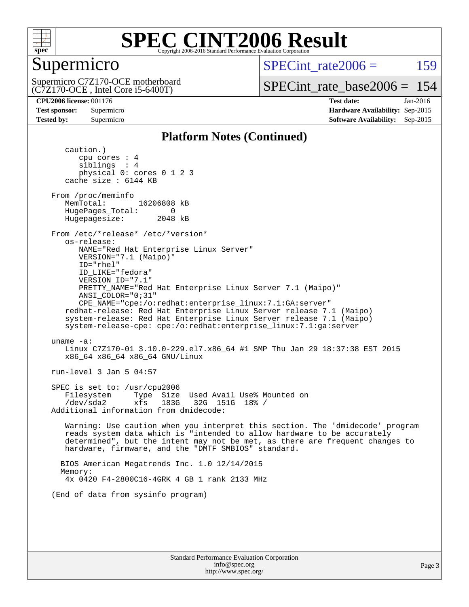

### Supermicro

Supermicro C7Z170-OCE motherboard  $SPECint rate2006 = 159$ 

[SPECint\\_rate\\_base2006 =](http://www.spec.org/auto/cpu2006/Docs/result-fields.html#SPECintratebase2006) 154

(C7Z170-OCE , Intel Core i5-6400T)

**[CPU2006 license:](http://www.spec.org/auto/cpu2006/Docs/result-fields.html#CPU2006license)** 001176 **[Test date:](http://www.spec.org/auto/cpu2006/Docs/result-fields.html#Testdate)** Jan-2016

**[Test sponsor:](http://www.spec.org/auto/cpu2006/Docs/result-fields.html#Testsponsor)** Supermicro **[Hardware Availability:](http://www.spec.org/auto/cpu2006/Docs/result-fields.html#HardwareAvailability)** Sep-2015 **[Tested by:](http://www.spec.org/auto/cpu2006/Docs/result-fields.html#Testedby)** Supermicro **Supermicro [Software Availability:](http://www.spec.org/auto/cpu2006/Docs/result-fields.html#SoftwareAvailability)** Sep-2015

### **[Platform Notes \(Continued\)](http://www.spec.org/auto/cpu2006/Docs/result-fields.html#PlatformNotes)**

 caution.) cpu cores : 4 siblings : 4 physical 0: cores 0 1 2 3 cache size : 6144 KB From /proc/meminfo MemTotal: 16206808 kB HugePages\_Total: 0<br>Hugepagesize: 2048 kB Hugepagesize: From /etc/\*release\* /etc/\*version\* os-release: NAME="Red Hat Enterprise Linux Server" VERSION="7.1 (Maipo)" ID="rhel" ID\_LIKE="fedora" VERSION\_ID="7.1" PRETTY\_NAME="Red Hat Enterprise Linux Server 7.1 (Maipo)" ANSI\_COLOR="0;31" CPE\_NAME="cpe:/o:redhat:enterprise\_linux:7.1:GA:server" redhat-release: Red Hat Enterprise Linux Server release 7.1 (Maipo) system-release: Red Hat Enterprise Linux Server release 7.1 (Maipo) system-release-cpe: cpe:/o:redhat:enterprise\_linux:7.1:ga:server uname -a: Linux C7Z170-01 3.10.0-229.el7.x86\_64 #1 SMP Thu Jan 29 18:37:38 EST 2015 x86\_64 x86\_64 x86\_64 GNU/Linux run-level 3 Jan 5 04:57 SPEC is set to: /usr/cpu2006 Filesystem Type Size Used Avail Use% Mounted on /dev/sda2 xfs 183G 32G 151G 18% / Additional information from dmidecode: Warning: Use caution when you interpret this section. The 'dmidecode' program reads system data which is "intended to allow hardware to be accurately determined", but the intent may not be met, as there are frequent changes to hardware, firmware, and the "DMTF SMBIOS" standard. BIOS American Megatrends Inc. 1.0 12/14/2015 Memory: 4x 0420 F4-2800C16-4GRK 4 GB 1 rank 2133 MHz (End of data from sysinfo program)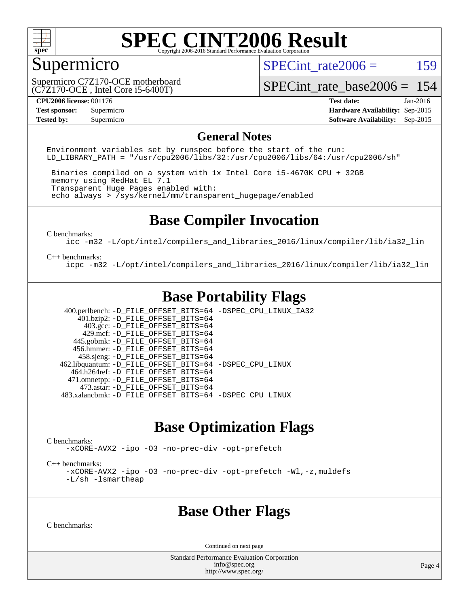

### Supermicro

SPECint rate $2006 = 159$ 

(C7Z170-OCE , Intel Core i5-6400T) Supermicro C7Z170-OCE motherboard [SPECint\\_rate\\_base2006 =](http://www.spec.org/auto/cpu2006/Docs/result-fields.html#SPECintratebase2006) 154

**[CPU2006 license:](http://www.spec.org/auto/cpu2006/Docs/result-fields.html#CPU2006license)** 001176 **[Test date:](http://www.spec.org/auto/cpu2006/Docs/result-fields.html#Testdate)** Jan-2016 **[Test sponsor:](http://www.spec.org/auto/cpu2006/Docs/result-fields.html#Testsponsor)** Supermicro **[Hardware Availability:](http://www.spec.org/auto/cpu2006/Docs/result-fields.html#HardwareAvailability)** Sep-2015 **[Tested by:](http://www.spec.org/auto/cpu2006/Docs/result-fields.html#Testedby)** Supermicro **Supermicro [Software Availability:](http://www.spec.org/auto/cpu2006/Docs/result-fields.html#SoftwareAvailability)** Sep-2015

#### **[General Notes](http://www.spec.org/auto/cpu2006/Docs/result-fields.html#GeneralNotes)**

Environment variables set by runspec before the start of the run: LD LIBRARY PATH = "/usr/cpu2006/libs/32:/usr/cpu2006/libs/64:/usr/cpu2006/sh"

 Binaries compiled on a system with 1x Intel Core i5-4670K CPU + 32GB memory using RedHat EL 7.1 Transparent Huge Pages enabled with: echo always > /sys/kernel/mm/transparent\_hugepage/enabled

### **[Base Compiler Invocation](http://www.spec.org/auto/cpu2006/Docs/result-fields.html#BaseCompilerInvocation)**

[C benchmarks](http://www.spec.org/auto/cpu2006/Docs/result-fields.html#Cbenchmarks):

[icc -m32 -L/opt/intel/compilers\\_and\\_libraries\\_2016/linux/compiler/lib/ia32\\_lin](http://www.spec.org/cpu2006/results/res2016q1/cpu2006-20160107-38607.flags.html#user_CCbase_intel_icc_e10256ba5924b668798078a321b0cb3f)

#### [C++ benchmarks:](http://www.spec.org/auto/cpu2006/Docs/result-fields.html#CXXbenchmarks)

[icpc -m32 -L/opt/intel/compilers\\_and\\_libraries\\_2016/linux/compiler/lib/ia32\\_lin](http://www.spec.org/cpu2006/results/res2016q1/cpu2006-20160107-38607.flags.html#user_CXXbase_intel_icpc_b4f50a394bdb4597aa5879c16bc3f5c5)

### **[Base Portability Flags](http://www.spec.org/auto/cpu2006/Docs/result-fields.html#BasePortabilityFlags)**

 400.perlbench: [-D\\_FILE\\_OFFSET\\_BITS=64](http://www.spec.org/cpu2006/results/res2016q1/cpu2006-20160107-38607.flags.html#user_basePORTABILITY400_perlbench_file_offset_bits_64_438cf9856305ebd76870a2c6dc2689ab) [-DSPEC\\_CPU\\_LINUX\\_IA32](http://www.spec.org/cpu2006/results/res2016q1/cpu2006-20160107-38607.flags.html#b400.perlbench_baseCPORTABILITY_DSPEC_CPU_LINUX_IA32)  $401.bzip2: -D$ FILE\_OFFSET\_BITS=64 403.gcc: [-D\\_FILE\\_OFFSET\\_BITS=64](http://www.spec.org/cpu2006/results/res2016q1/cpu2006-20160107-38607.flags.html#user_basePORTABILITY403_gcc_file_offset_bits_64_438cf9856305ebd76870a2c6dc2689ab) 429.mcf: [-D\\_FILE\\_OFFSET\\_BITS=64](http://www.spec.org/cpu2006/results/res2016q1/cpu2006-20160107-38607.flags.html#user_basePORTABILITY429_mcf_file_offset_bits_64_438cf9856305ebd76870a2c6dc2689ab) 445.gobmk: [-D\\_FILE\\_OFFSET\\_BITS=64](http://www.spec.org/cpu2006/results/res2016q1/cpu2006-20160107-38607.flags.html#user_basePORTABILITY445_gobmk_file_offset_bits_64_438cf9856305ebd76870a2c6dc2689ab) 456.hmmer: [-D\\_FILE\\_OFFSET\\_BITS=64](http://www.spec.org/cpu2006/results/res2016q1/cpu2006-20160107-38607.flags.html#user_basePORTABILITY456_hmmer_file_offset_bits_64_438cf9856305ebd76870a2c6dc2689ab) 458.sjeng: [-D\\_FILE\\_OFFSET\\_BITS=64](http://www.spec.org/cpu2006/results/res2016q1/cpu2006-20160107-38607.flags.html#user_basePORTABILITY458_sjeng_file_offset_bits_64_438cf9856305ebd76870a2c6dc2689ab) 462.libquantum: [-D\\_FILE\\_OFFSET\\_BITS=64](http://www.spec.org/cpu2006/results/res2016q1/cpu2006-20160107-38607.flags.html#user_basePORTABILITY462_libquantum_file_offset_bits_64_438cf9856305ebd76870a2c6dc2689ab) [-DSPEC\\_CPU\\_LINUX](http://www.spec.org/cpu2006/results/res2016q1/cpu2006-20160107-38607.flags.html#b462.libquantum_baseCPORTABILITY_DSPEC_CPU_LINUX) 464.h264ref: [-D\\_FILE\\_OFFSET\\_BITS=64](http://www.spec.org/cpu2006/results/res2016q1/cpu2006-20160107-38607.flags.html#user_basePORTABILITY464_h264ref_file_offset_bits_64_438cf9856305ebd76870a2c6dc2689ab) 471.omnetpp: [-D\\_FILE\\_OFFSET\\_BITS=64](http://www.spec.org/cpu2006/results/res2016q1/cpu2006-20160107-38607.flags.html#user_basePORTABILITY471_omnetpp_file_offset_bits_64_438cf9856305ebd76870a2c6dc2689ab) 473.astar: [-D\\_FILE\\_OFFSET\\_BITS=64](http://www.spec.org/cpu2006/results/res2016q1/cpu2006-20160107-38607.flags.html#user_basePORTABILITY473_astar_file_offset_bits_64_438cf9856305ebd76870a2c6dc2689ab) 483.xalancbmk: [-D\\_FILE\\_OFFSET\\_BITS=64](http://www.spec.org/cpu2006/results/res2016q1/cpu2006-20160107-38607.flags.html#user_basePORTABILITY483_xalancbmk_file_offset_bits_64_438cf9856305ebd76870a2c6dc2689ab) [-DSPEC\\_CPU\\_LINUX](http://www.spec.org/cpu2006/results/res2016q1/cpu2006-20160107-38607.flags.html#b483.xalancbmk_baseCXXPORTABILITY_DSPEC_CPU_LINUX)

### **[Base Optimization Flags](http://www.spec.org/auto/cpu2006/Docs/result-fields.html#BaseOptimizationFlags)**

[C benchmarks](http://www.spec.org/auto/cpu2006/Docs/result-fields.html#Cbenchmarks):

[-xCORE-AVX2](http://www.spec.org/cpu2006/results/res2016q1/cpu2006-20160107-38607.flags.html#user_CCbase_f-xAVX2_5f5fc0cbe2c9f62c816d3e45806c70d7) [-ipo](http://www.spec.org/cpu2006/results/res2016q1/cpu2006-20160107-38607.flags.html#user_CCbase_f-ipo) [-O3](http://www.spec.org/cpu2006/results/res2016q1/cpu2006-20160107-38607.flags.html#user_CCbase_f-O3) [-no-prec-div](http://www.spec.org/cpu2006/results/res2016q1/cpu2006-20160107-38607.flags.html#user_CCbase_f-no-prec-div) [-opt-prefetch](http://www.spec.org/cpu2006/results/res2016q1/cpu2006-20160107-38607.flags.html#user_CCbase_f-opt-prefetch)

[C++ benchmarks:](http://www.spec.org/auto/cpu2006/Docs/result-fields.html#CXXbenchmarks)

[-xCORE-AVX2](http://www.spec.org/cpu2006/results/res2016q1/cpu2006-20160107-38607.flags.html#user_CXXbase_f-xAVX2_5f5fc0cbe2c9f62c816d3e45806c70d7) [-ipo](http://www.spec.org/cpu2006/results/res2016q1/cpu2006-20160107-38607.flags.html#user_CXXbase_f-ipo) [-O3](http://www.spec.org/cpu2006/results/res2016q1/cpu2006-20160107-38607.flags.html#user_CXXbase_f-O3) [-no-prec-div](http://www.spec.org/cpu2006/results/res2016q1/cpu2006-20160107-38607.flags.html#user_CXXbase_f-no-prec-div) [-opt-prefetch](http://www.spec.org/cpu2006/results/res2016q1/cpu2006-20160107-38607.flags.html#user_CXXbase_f-opt-prefetch) [-Wl,-z,muldefs](http://www.spec.org/cpu2006/results/res2016q1/cpu2006-20160107-38607.flags.html#user_CXXbase_link_force_multiple1_74079c344b956b9658436fd1b6dd3a8a) [-L/sh -lsmartheap](http://www.spec.org/cpu2006/results/res2016q1/cpu2006-20160107-38607.flags.html#user_CXXbase_SmartHeap_32f6c82aa1ed9c52345d30cf6e4a0499)

### **[Base Other Flags](http://www.spec.org/auto/cpu2006/Docs/result-fields.html#BaseOtherFlags)**

[C benchmarks](http://www.spec.org/auto/cpu2006/Docs/result-fields.html#Cbenchmarks):

Continued on next page

Standard Performance Evaluation Corporation [info@spec.org](mailto:info@spec.org) <http://www.spec.org/>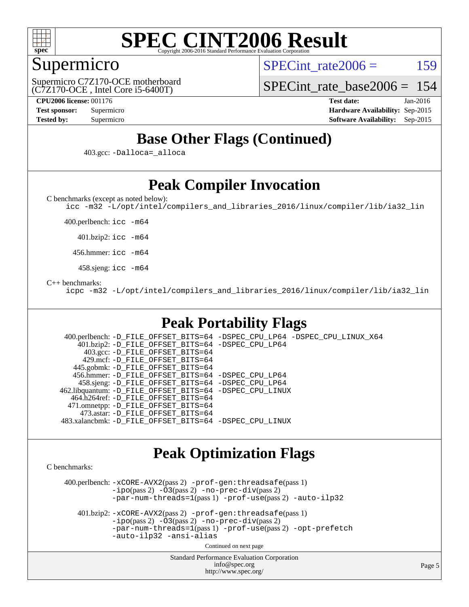

### Supermicro

SPECint rate $2006 = 159$ 

(C7Z170-OCE , Intel Core i5-6400T) Supermicro C7Z170-OCE motherboard

[SPECint\\_rate\\_base2006 =](http://www.spec.org/auto/cpu2006/Docs/result-fields.html#SPECintratebase2006) 154

**[CPU2006 license:](http://www.spec.org/auto/cpu2006/Docs/result-fields.html#CPU2006license)** 001176 **[Test date:](http://www.spec.org/auto/cpu2006/Docs/result-fields.html#Testdate)** Jan-2016 **[Test sponsor:](http://www.spec.org/auto/cpu2006/Docs/result-fields.html#Testsponsor)** Supermicro **[Hardware Availability:](http://www.spec.org/auto/cpu2006/Docs/result-fields.html#HardwareAvailability)** Sep-2015 **[Tested by:](http://www.spec.org/auto/cpu2006/Docs/result-fields.html#Testedby)** Supermicro **[Software Availability:](http://www.spec.org/auto/cpu2006/Docs/result-fields.html#SoftwareAvailability)** Sep-2015

## **[Base Other Flags \(Continued\)](http://www.spec.org/auto/cpu2006/Docs/result-fields.html#BaseOtherFlags)**

403.gcc: [-Dalloca=\\_alloca](http://www.spec.org/cpu2006/results/res2016q1/cpu2006-20160107-38607.flags.html#b403.gcc_baseEXTRA_CFLAGS_Dalloca_be3056838c12de2578596ca5467af7f3)

## **[Peak Compiler Invocation](http://www.spec.org/auto/cpu2006/Docs/result-fields.html#PeakCompilerInvocation)**

[C benchmarks \(except as noted below\)](http://www.spec.org/auto/cpu2006/Docs/result-fields.html#Cbenchmarksexceptasnotedbelow):

[icc -m32 -L/opt/intel/compilers\\_and\\_libraries\\_2016/linux/compiler/lib/ia32\\_lin](http://www.spec.org/cpu2006/results/res2016q1/cpu2006-20160107-38607.flags.html#user_CCpeak_intel_icc_e10256ba5924b668798078a321b0cb3f)

400.perlbench: [icc -m64](http://www.spec.org/cpu2006/results/res2016q1/cpu2006-20160107-38607.flags.html#user_peakCCLD400_perlbench_intel_icc_64bit_bda6cc9af1fdbb0edc3795bac97ada53)

401.bzip2: [icc -m64](http://www.spec.org/cpu2006/results/res2016q1/cpu2006-20160107-38607.flags.html#user_peakCCLD401_bzip2_intel_icc_64bit_bda6cc9af1fdbb0edc3795bac97ada53)

456.hmmer: [icc -m64](http://www.spec.org/cpu2006/results/res2016q1/cpu2006-20160107-38607.flags.html#user_peakCCLD456_hmmer_intel_icc_64bit_bda6cc9af1fdbb0edc3795bac97ada53)

458.sjeng: [icc -m64](http://www.spec.org/cpu2006/results/res2016q1/cpu2006-20160107-38607.flags.html#user_peakCCLD458_sjeng_intel_icc_64bit_bda6cc9af1fdbb0edc3795bac97ada53)

#### [C++ benchmarks:](http://www.spec.org/auto/cpu2006/Docs/result-fields.html#CXXbenchmarks)

[icpc -m32 -L/opt/intel/compilers\\_and\\_libraries\\_2016/linux/compiler/lib/ia32\\_lin](http://www.spec.org/cpu2006/results/res2016q1/cpu2006-20160107-38607.flags.html#user_CXXpeak_intel_icpc_b4f50a394bdb4597aa5879c16bc3f5c5)

### **[Peak Portability Flags](http://www.spec.org/auto/cpu2006/Docs/result-fields.html#PeakPortabilityFlags)**

 400.perlbench: [-D\\_FILE\\_OFFSET\\_BITS=64](http://www.spec.org/cpu2006/results/res2016q1/cpu2006-20160107-38607.flags.html#user_peakPORTABILITY400_perlbench_file_offset_bits_64_438cf9856305ebd76870a2c6dc2689ab) [-DSPEC\\_CPU\\_LP64](http://www.spec.org/cpu2006/results/res2016q1/cpu2006-20160107-38607.flags.html#b400.perlbench_peakCPORTABILITY_DSPEC_CPU_LP64) [-DSPEC\\_CPU\\_LINUX\\_X64](http://www.spec.org/cpu2006/results/res2016q1/cpu2006-20160107-38607.flags.html#b400.perlbench_peakCPORTABILITY_DSPEC_CPU_LINUX_X64) 401.bzip2: [-D\\_FILE\\_OFFSET\\_BITS=64](http://www.spec.org/cpu2006/results/res2016q1/cpu2006-20160107-38607.flags.html#user_peakPORTABILITY401_bzip2_file_offset_bits_64_438cf9856305ebd76870a2c6dc2689ab) [-DSPEC\\_CPU\\_LP64](http://www.spec.org/cpu2006/results/res2016q1/cpu2006-20160107-38607.flags.html#suite_peakCPORTABILITY401_bzip2_DSPEC_CPU_LP64) 403.gcc: [-D\\_FILE\\_OFFSET\\_BITS=64](http://www.spec.org/cpu2006/results/res2016q1/cpu2006-20160107-38607.flags.html#user_peakPORTABILITY403_gcc_file_offset_bits_64_438cf9856305ebd76870a2c6dc2689ab) 429.mcf: [-D\\_FILE\\_OFFSET\\_BITS=64](http://www.spec.org/cpu2006/results/res2016q1/cpu2006-20160107-38607.flags.html#user_peakPORTABILITY429_mcf_file_offset_bits_64_438cf9856305ebd76870a2c6dc2689ab) 445.gobmk: [-D\\_FILE\\_OFFSET\\_BITS=64](http://www.spec.org/cpu2006/results/res2016q1/cpu2006-20160107-38607.flags.html#user_peakPORTABILITY445_gobmk_file_offset_bits_64_438cf9856305ebd76870a2c6dc2689ab) 456.hmmer: [-D\\_FILE\\_OFFSET\\_BITS=64](http://www.spec.org/cpu2006/results/res2016q1/cpu2006-20160107-38607.flags.html#user_peakPORTABILITY456_hmmer_file_offset_bits_64_438cf9856305ebd76870a2c6dc2689ab) [-DSPEC\\_CPU\\_LP64](http://www.spec.org/cpu2006/results/res2016q1/cpu2006-20160107-38607.flags.html#suite_peakCPORTABILITY456_hmmer_DSPEC_CPU_LP64) 458.sjeng: [-D\\_FILE\\_OFFSET\\_BITS=64](http://www.spec.org/cpu2006/results/res2016q1/cpu2006-20160107-38607.flags.html#user_peakPORTABILITY458_sjeng_file_offset_bits_64_438cf9856305ebd76870a2c6dc2689ab) [-DSPEC\\_CPU\\_LP64](http://www.spec.org/cpu2006/results/res2016q1/cpu2006-20160107-38607.flags.html#suite_peakCPORTABILITY458_sjeng_DSPEC_CPU_LP64) 462.libquantum: [-D\\_FILE\\_OFFSET\\_BITS=64](http://www.spec.org/cpu2006/results/res2016q1/cpu2006-20160107-38607.flags.html#user_peakPORTABILITY462_libquantum_file_offset_bits_64_438cf9856305ebd76870a2c6dc2689ab) [-DSPEC\\_CPU\\_LINUX](http://www.spec.org/cpu2006/results/res2016q1/cpu2006-20160107-38607.flags.html#b462.libquantum_peakCPORTABILITY_DSPEC_CPU_LINUX) 464.h264ref: [-D\\_FILE\\_OFFSET\\_BITS=64](http://www.spec.org/cpu2006/results/res2016q1/cpu2006-20160107-38607.flags.html#user_peakPORTABILITY464_h264ref_file_offset_bits_64_438cf9856305ebd76870a2c6dc2689ab) 471.omnetpp: [-D\\_FILE\\_OFFSET\\_BITS=64](http://www.spec.org/cpu2006/results/res2016q1/cpu2006-20160107-38607.flags.html#user_peakPORTABILITY471_omnetpp_file_offset_bits_64_438cf9856305ebd76870a2c6dc2689ab) 473.astar: [-D\\_FILE\\_OFFSET\\_BITS=64](http://www.spec.org/cpu2006/results/res2016q1/cpu2006-20160107-38607.flags.html#user_peakPORTABILITY473_astar_file_offset_bits_64_438cf9856305ebd76870a2c6dc2689ab) 483.xalancbmk: [-D\\_FILE\\_OFFSET\\_BITS=64](http://www.spec.org/cpu2006/results/res2016q1/cpu2006-20160107-38607.flags.html#user_peakPORTABILITY483_xalancbmk_file_offset_bits_64_438cf9856305ebd76870a2c6dc2689ab) [-DSPEC\\_CPU\\_LINUX](http://www.spec.org/cpu2006/results/res2016q1/cpu2006-20160107-38607.flags.html#b483.xalancbmk_peakCXXPORTABILITY_DSPEC_CPU_LINUX)

### **[Peak Optimization Flags](http://www.spec.org/auto/cpu2006/Docs/result-fields.html#PeakOptimizationFlags)**

[C benchmarks](http://www.spec.org/auto/cpu2006/Docs/result-fields.html#Cbenchmarks):

 400.perlbench: [-xCORE-AVX2](http://www.spec.org/cpu2006/results/res2016q1/cpu2006-20160107-38607.flags.html#user_peakPASS2_CFLAGSPASS2_LDCFLAGS400_perlbench_f-xAVX2_5f5fc0cbe2c9f62c816d3e45806c70d7)(pass 2) [-prof-gen:threadsafe](http://www.spec.org/cpu2006/results/res2016q1/cpu2006-20160107-38607.flags.html#user_peakPASS1_CFLAGSPASS1_LDCFLAGS400_perlbench_prof_gen_21a26eb79f378b550acd7bec9fe4467a)(pass 1)  $-i\text{po}(pass 2) -\tilde{O}3(pass 2)$  [-no-prec-div](http://www.spec.org/cpu2006/results/res2016q1/cpu2006-20160107-38607.flags.html#user_peakPASS2_CFLAGSPASS2_LDCFLAGS400_perlbench_f-no-prec-div)(pass 2) [-par-num-threads=1](http://www.spec.org/cpu2006/results/res2016q1/cpu2006-20160107-38607.flags.html#user_peakPASS1_CFLAGSPASS1_LDCFLAGS400_perlbench_par_num_threads_786a6ff141b4e9e90432e998842df6c2)(pass 1) [-prof-use](http://www.spec.org/cpu2006/results/res2016q1/cpu2006-20160107-38607.flags.html#user_peakPASS2_CFLAGSPASS2_LDCFLAGS400_perlbench_prof_use_bccf7792157ff70d64e32fe3e1250b55)(pass 2) [-auto-ilp32](http://www.spec.org/cpu2006/results/res2016q1/cpu2006-20160107-38607.flags.html#user_peakCOPTIMIZE400_perlbench_f-auto-ilp32)

 401.bzip2: [-xCORE-AVX2](http://www.spec.org/cpu2006/results/res2016q1/cpu2006-20160107-38607.flags.html#user_peakPASS2_CFLAGSPASS2_LDCFLAGS401_bzip2_f-xAVX2_5f5fc0cbe2c9f62c816d3e45806c70d7)(pass 2) [-prof-gen:threadsafe](http://www.spec.org/cpu2006/results/res2016q1/cpu2006-20160107-38607.flags.html#user_peakPASS1_CFLAGSPASS1_LDCFLAGS401_bzip2_prof_gen_21a26eb79f378b550acd7bec9fe4467a)(pass 1)  $-i\text{po}(pass 2) -\overline{O}3(pass 2)$  [-no-prec-div](http://www.spec.org/cpu2006/results/res2016q1/cpu2006-20160107-38607.flags.html#user_peakPASS2_CFLAGSPASS2_LDCFLAGS401_bzip2_f-no-prec-div)(pass 2) [-par-num-threads=1](http://www.spec.org/cpu2006/results/res2016q1/cpu2006-20160107-38607.flags.html#user_peakPASS1_CFLAGSPASS1_LDCFLAGS401_bzip2_par_num_threads_786a6ff141b4e9e90432e998842df6c2)(pass 1) [-prof-use](http://www.spec.org/cpu2006/results/res2016q1/cpu2006-20160107-38607.flags.html#user_peakPASS2_CFLAGSPASS2_LDCFLAGS401_bzip2_prof_use_bccf7792157ff70d64e32fe3e1250b55)(pass 2) [-opt-prefetch](http://www.spec.org/cpu2006/results/res2016q1/cpu2006-20160107-38607.flags.html#user_peakCOPTIMIZE401_bzip2_f-opt-prefetch) [-auto-ilp32](http://www.spec.org/cpu2006/results/res2016q1/cpu2006-20160107-38607.flags.html#user_peakCOPTIMIZE401_bzip2_f-auto-ilp32) [-ansi-alias](http://www.spec.org/cpu2006/results/res2016q1/cpu2006-20160107-38607.flags.html#user_peakCOPTIMIZE401_bzip2_f-ansi-alias)

Continued on next page

Standard Performance Evaluation Corporation [info@spec.org](mailto:info@spec.org) <http://www.spec.org/>

Page 5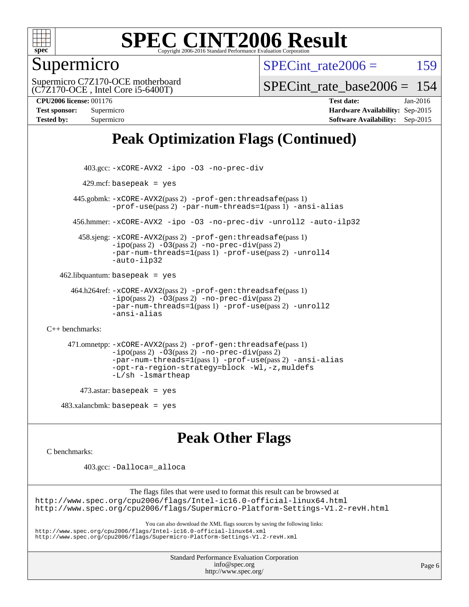

### Supermicro

SPECint rate $2006 = 159$ 

(C7Z170-OCE , Intel Core i5-6400T) Supermicro C7Z170-OCE motherboard SPECint rate base  $2006 = 154$ 

**[CPU2006 license:](http://www.spec.org/auto/cpu2006/Docs/result-fields.html#CPU2006license)** 001176 **[Test date:](http://www.spec.org/auto/cpu2006/Docs/result-fields.html#Testdate)** Jan-2016 **[Test sponsor:](http://www.spec.org/auto/cpu2006/Docs/result-fields.html#Testsponsor)** Supermicro **[Hardware Availability:](http://www.spec.org/auto/cpu2006/Docs/result-fields.html#HardwareAvailability)** Sep-2015 **[Tested by:](http://www.spec.org/auto/cpu2006/Docs/result-fields.html#Testedby)** Supermicro **[Software Availability:](http://www.spec.org/auto/cpu2006/Docs/result-fields.html#SoftwareAvailability)** Sep-2015

## **[Peak Optimization Flags \(Continued\)](http://www.spec.org/auto/cpu2006/Docs/result-fields.html#PeakOptimizationFlags)**

```
 403.gcc: -xCORE-AVX2 -ipo -O3 -no-prec-div
        429.mcf: basepeak = yes
       445.gobmk: -xCORE-AVX2(pass 2) -prof-gen:threadsafe(pass 1)
                -prof-use(pass 2) -par-num-threads=1(pass 1) -ansi-alias
       456.hmmer: -xCORE-AVX2 -ipo -O3 -no-prec-div -unroll2 -auto-ilp32
        458.sjeng: -xCORE-AVX2(pass 2) -prof-gen:threadsafe(pass 1)
                -i\text{po}(pass 2) -\ddot{o}3(pass 2)-no-prec-div(pass 2)
                -par-num-threads=1(pass 1) -prof-use(pass 2) -unroll4
                -auto-ilp32
   462.libquantum: basepeak = yes
      464.h264ref: -xCORE-AVX2(pass 2) -prof-gen:threadsafe(pass 1)
                -ipo(pass 2) -O3(pass 2) -no-prec-div(pass 2)
                -par-num-threads=1(pass 1) -prof-use(pass 2) -unroll2
                -ansi-alias
C++ benchmarks: 
      471.omnetpp: -xCORE-AVX2(pass 2) -prof-gen:threadsafe(pass 1)
                -ipo(pass 2) -O3(pass 2) -no-prec-div(pass 2)
                -par-num-threads=1(pass 1) -prof-use(pass 2) -ansi-alias
                -opt-ra-region-strategy=block -Wl,-z,muldefs
                -L/sh -lsmartheap
        473.astar: basepeak = yes
   483.xalanchmk: basepeak = yesPeak Other Flags
```
[C benchmarks](http://www.spec.org/auto/cpu2006/Docs/result-fields.html#Cbenchmarks):

403.gcc: [-Dalloca=\\_alloca](http://www.spec.org/cpu2006/results/res2016q1/cpu2006-20160107-38607.flags.html#b403.gcc_peakEXTRA_CFLAGS_Dalloca_be3056838c12de2578596ca5467af7f3)

The flags files that were used to format this result can be browsed at <http://www.spec.org/cpu2006/flags/Intel-ic16.0-official-linux64.html> <http://www.spec.org/cpu2006/flags/Supermicro-Platform-Settings-V1.2-revH.html>

You can also download the XML flags sources by saving the following links:

<http://www.spec.org/cpu2006/flags/Intel-ic16.0-official-linux64.xml>

<http://www.spec.org/cpu2006/flags/Supermicro-Platform-Settings-V1.2-revH.xml>

Standard Performance Evaluation Corporation [info@spec.org](mailto:info@spec.org) <http://www.spec.org/>

Page 6